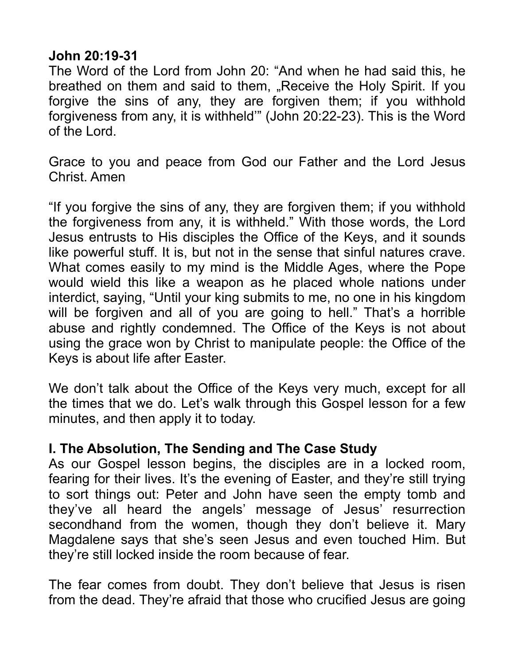## **John 20:19-31**

The Word of the Lord from John 20: "And when he had said this, he breathed on them and said to them, "Receive the Holy Spirit. If you forgive the sins of any, they are forgiven them; if you withhold forgiveness from any, it is withheld'" (John 20:22-23). This is the Word of the Lord.

Grace to you and peace from God our Father and the Lord Jesus Christ. Amen

"If you forgive the sins of any, they are forgiven them; if you withhold the forgiveness from any, it is withheld." With those words, the Lord Jesus entrusts to His disciples the Office of the Keys, and it sounds like powerful stuff. It is, but not in the sense that sinful natures crave. What comes easily to my mind is the Middle Ages, where the Pope would wield this like a weapon as he placed whole nations under interdict, saying, "Until your king submits to me, no one in his kingdom will be forgiven and all of you are going to hell." That's a horrible abuse and rightly condemned. The Office of the Keys is not about using the grace won by Christ to manipulate people: the Office of the Keys is about life after Easter.

We don't talk about the Office of the Keys very much, except for all the times that we do. Let's walk through this Gospel lesson for a few minutes, and then apply it to today.

## **I. The Absolution, The Sending and The Case Study**

As our Gospel lesson begins, the disciples are in a locked room, fearing for their lives. It's the evening of Easter, and they're still trying to sort things out: Peter and John have seen the empty tomb and they've all heard the angels' message of Jesus' resurrection secondhand from the women, though they don't believe it. Mary Magdalene says that she's seen Jesus and even touched Him. But they're still locked inside the room because of fear.

The fear comes from doubt. They don't believe that Jesus is risen from the dead. They're afraid that those who crucified Jesus are going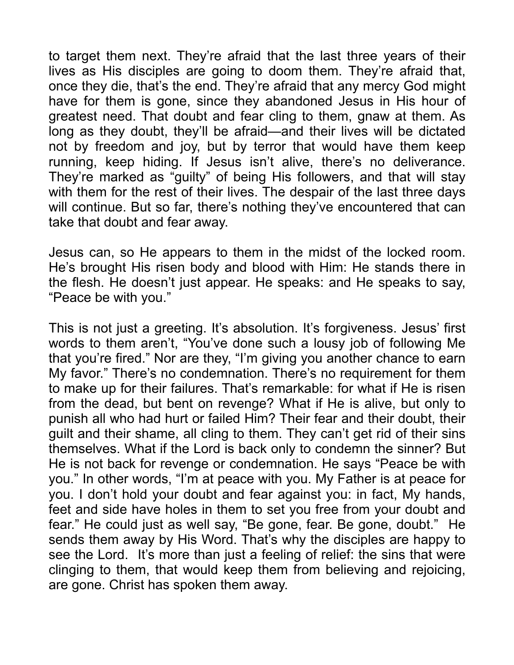to target them next. They're afraid that the last three years of their lives as His disciples are going to doom them. They're afraid that, once they die, that's the end. They're afraid that any mercy God might have for them is gone, since they abandoned Jesus in His hour of greatest need. That doubt and fear cling to them, gnaw at them. As long as they doubt, they'll be afraid—and their lives will be dictated not by freedom and joy, but by terror that would have them keep running, keep hiding. If Jesus isn't alive, there's no deliverance. They're marked as "guilty" of being His followers, and that will stay with them for the rest of their lives. The despair of the last three days will continue. But so far, there's nothing they've encountered that can take that doubt and fear away.

Jesus can, so He appears to them in the midst of the locked room. He's brought His risen body and blood with Him: He stands there in the flesh. He doesn't just appear. He speaks: and He speaks to say, "Peace be with you."

This is not just a greeting. It's absolution. It's forgiveness. Jesus' first words to them aren't, "You've done such a lousy job of following Me that you're fired." Nor are they, "I'm giving you another chance to earn My favor." There's no condemnation. There's no requirement for them to make up for their failures. That's remarkable: for what if He is risen from the dead, but bent on revenge? What if He is alive, but only to punish all who had hurt or failed Him? Their fear and their doubt, their guilt and their shame, all cling to them. They can't get rid of their sins themselves. What if the Lord is back only to condemn the sinner? But He is not back for revenge or condemnation. He says "Peace be with you." In other words, "I'm at peace with you. My Father is at peace for you. I don't hold your doubt and fear against you: in fact, My hands, feet and side have holes in them to set you free from your doubt and fear." He could just as well say, "Be gone, fear. Be gone, doubt." He sends them away by His Word. That's why the disciples are happy to see the Lord. It's more than just a feeling of relief: the sins that were clinging to them, that would keep them from believing and rejoicing, are gone. Christ has spoken them away.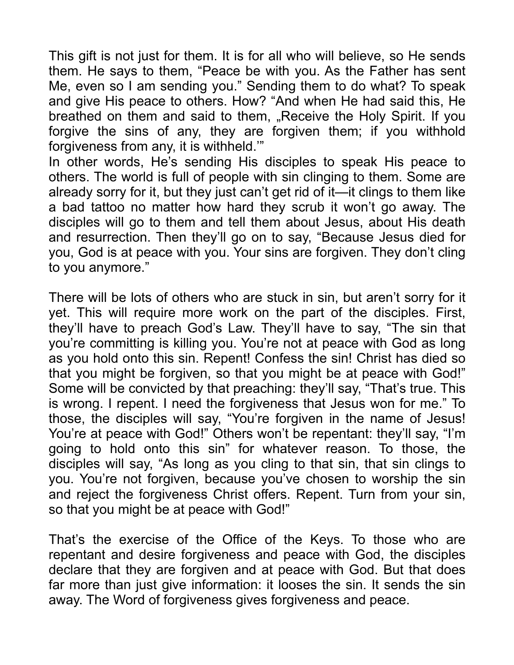This gift is not just for them. It is for all who will believe, so He sends them. He says to them, "Peace be with you. As the Father has sent Me, even so I am sending you." Sending them to do what? To speak and give His peace to others. How? "And when He had said this, He breathed on them and said to them, "Receive the Holy Spirit. If you forgive the sins of any, they are forgiven them; if you withhold forgiveness from any, it is withheld.'"

In other words, He's sending His disciples to speak His peace to others. The world is full of people with sin clinging to them. Some are already sorry for it, but they just can't get rid of it—it clings to them like a bad tattoo no matter how hard they scrub it won't go away. The disciples will go to them and tell them about Jesus, about His death and resurrection. Then they'll go on to say, "Because Jesus died for you, God is at peace with you. Your sins are forgiven. They don't cling to you anymore."

There will be lots of others who are stuck in sin, but aren't sorry for it yet. This will require more work on the part of the disciples. First, they'll have to preach God's Law. They'll have to say, "The sin that you're committing is killing you. You're not at peace with God as long as you hold onto this sin. Repent! Confess the sin! Christ has died so that you might be forgiven, so that you might be at peace with God!" Some will be convicted by that preaching: they'll say, "That's true. This is wrong. I repent. I need the forgiveness that Jesus won for me." To those, the disciples will say, "You're forgiven in the name of Jesus! You're at peace with God!" Others won't be repentant: they'll say, "I'm going to hold onto this sin" for whatever reason. To those, the disciples will say, "As long as you cling to that sin, that sin clings to you. You're not forgiven, because you've chosen to worship the sin and reject the forgiveness Christ offers. Repent. Turn from your sin, so that you might be at peace with God!"

That's the exercise of the Office of the Keys. To those who are repentant and desire forgiveness and peace with God, the disciples declare that they are forgiven and at peace with God. But that does far more than just give information: it looses the sin. It sends the sin away. The Word of forgiveness gives forgiveness and peace.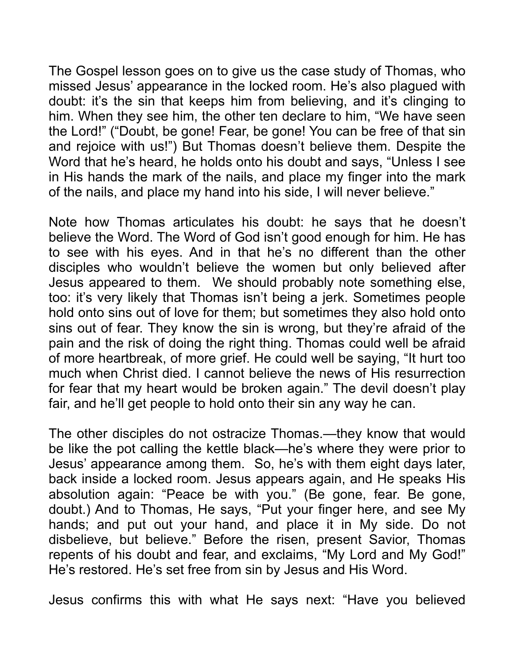The Gospel lesson goes on to give us the case study of Thomas, who missed Jesus' appearance in the locked room. He's also plagued with doubt: it's the sin that keeps him from believing, and it's clinging to him. When they see him, the other ten declare to him, "We have seen the Lord!" ("Doubt, be gone! Fear, be gone! You can be free of that sin and rejoice with us!") But Thomas doesn't believe them. Despite the Word that he's heard, he holds onto his doubt and says, "Unless I see in His hands the mark of the nails, and place my finger into the mark of the nails, and place my hand into his side, I will never believe."

Note how Thomas articulates his doubt: he says that he doesn't believe the Word. The Word of God isn't good enough for him. He has to see with his eyes. And in that he's no different than the other disciples who wouldn't believe the women but only believed after Jesus appeared to them. We should probably note something else, too: it's very likely that Thomas isn't being a jerk. Sometimes people hold onto sins out of love for them; but sometimes they also hold onto sins out of fear. They know the sin is wrong, but they're afraid of the pain and the risk of doing the right thing. Thomas could well be afraid of more heartbreak, of more grief. He could well be saying, "It hurt too much when Christ died. I cannot believe the news of His resurrection for fear that my heart would be broken again." The devil doesn't play fair, and he'll get people to hold onto their sin any way he can.

The other disciples do not ostracize Thomas.—they know that would be like the pot calling the kettle black—he's where they were prior to Jesus' appearance among them. So, he's with them eight days later, back inside a locked room. Jesus appears again, and He speaks His absolution again: "Peace be with you." (Be gone, fear. Be gone, doubt.) And to Thomas, He says, "Put your finger here, and see My hands; and put out your hand, and place it in My side. Do not disbelieve, but believe." Before the risen, present Savior, Thomas repents of his doubt and fear, and exclaims, "My Lord and My God!" He's restored. He's set free from sin by Jesus and His Word.

Jesus confirms this with what He says next: "Have you believed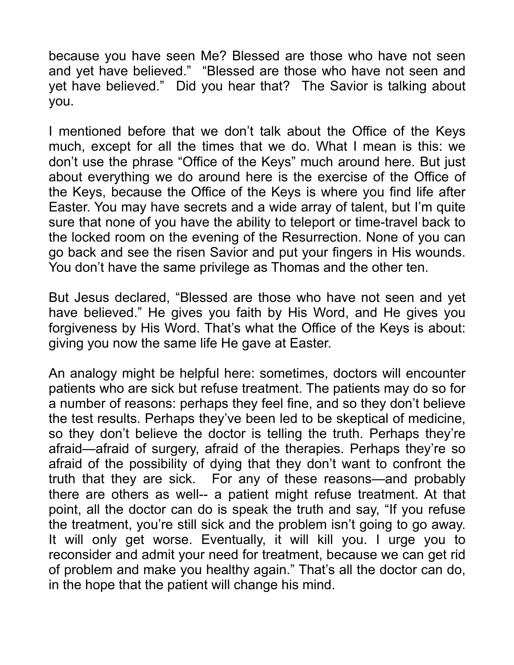because you have seen Me? Blessed are those who have not seen and yet have believed." "Blessed are those who have not seen and yet have believed." Did you hear that? The Savior is talking about you.

I mentioned before that we don't talk about the Office of the Keys much, except for all the times that we do. What I mean is this: we don't use the phrase "Office of the Keys" much around here. But just about everything we do around here is the exercise of the Office of the Keys, because the Office of the Keys is where you find life after Easter. You may have secrets and a wide array of talent, but I'm quite sure that none of you have the ability to teleport or time-travel back to the locked room on the evening of the Resurrection. None of you can go back and see the risen Savior and put your fingers in His wounds. You don't have the same privilege as Thomas and the other ten.

But Jesus declared, "Blessed are those who have not seen and yet have believed." He gives you faith by His Word, and He gives you forgiveness by His Word. That's what the Office of the Keys is about: giving you now the same life He gave at Easter.

An analogy might be helpful here: sometimes, doctors will encounter patients who are sick but refuse treatment. The patients may do so for a number of reasons: perhaps they feel fine, and so they don't believe the test results. Perhaps they've been led to be skeptical of medicine, so they don't believe the doctor is telling the truth. Perhaps they're afraid—afraid of surgery, afraid of the therapies. Perhaps they're so afraid of the possibility of dying that they don't want to confront the truth that they are sick. For any of these reasons—and probably there are others as well-- a patient might refuse treatment. At that point, all the doctor can do is speak the truth and say, "If you refuse the treatment, you're still sick and the problem isn't going to go away. It will only get worse. Eventually, it will kill you. I urge you to reconsider and admit your need for treatment, because we can get rid of problem and make you healthy again." That's all the doctor can do, in the hope that the patient will change his mind.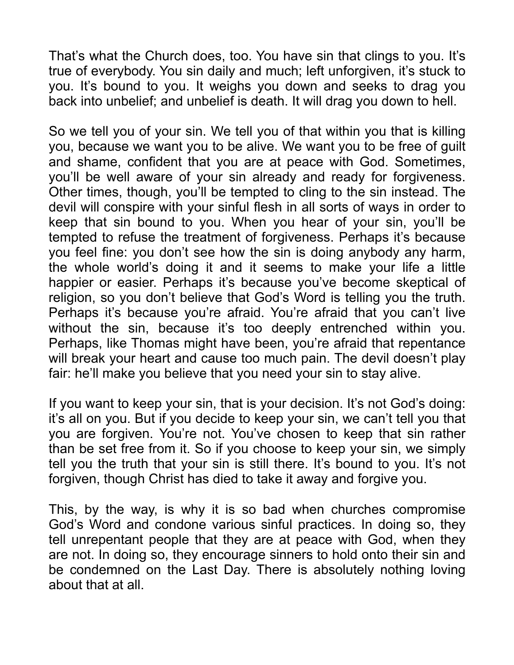That's what the Church does, too. You have sin that clings to you. It's true of everybody. You sin daily and much; left unforgiven, it's stuck to you. It's bound to you. It weighs you down and seeks to drag you back into unbelief; and unbelief is death. It will drag you down to hell.

So we tell you of your sin. We tell you of that within you that is killing you, because we want you to be alive. We want you to be free of guilt and shame, confident that you are at peace with God. Sometimes, you'll be well aware of your sin already and ready for forgiveness. Other times, though, you'll be tempted to cling to the sin instead. The devil will conspire with your sinful flesh in all sorts of ways in order to keep that sin bound to you. When you hear of your sin, you'll be tempted to refuse the treatment of forgiveness. Perhaps it's because you feel fine: you don't see how the sin is doing anybody any harm, the whole world's doing it and it seems to make your life a little happier or easier. Perhaps it's because you've become skeptical of religion, so you don't believe that God's Word is telling you the truth. Perhaps it's because you're afraid. You're afraid that you can't live without the sin, because it's too deeply entrenched within you. Perhaps, like Thomas might have been, you're afraid that repentance will break your heart and cause too much pain. The devil doesn't play fair: he'll make you believe that you need your sin to stay alive.

If you want to keep your sin, that is your decision. It's not God's doing: it's all on you. But if you decide to keep your sin, we can't tell you that you are forgiven. You're not. You've chosen to keep that sin rather than be set free from it. So if you choose to keep your sin, we simply tell you the truth that your sin is still there. It's bound to you. It's not forgiven, though Christ has died to take it away and forgive you.

This, by the way, is why it is so bad when churches compromise God's Word and condone various sinful practices. In doing so, they tell unrepentant people that they are at peace with God, when they are not. In doing so, they encourage sinners to hold onto their sin and be condemned on the Last Day. There is absolutely nothing loving about that at all.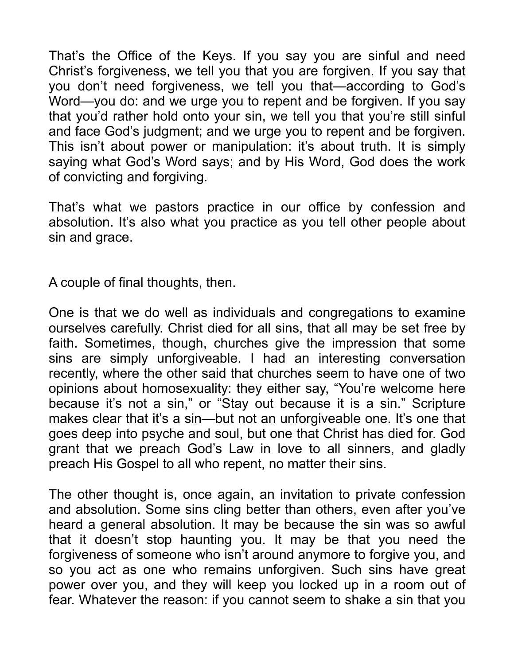That's the Office of the Keys. If you say you are sinful and need Christ's forgiveness, we tell you that you are forgiven. If you say that you don't need forgiveness, we tell you that—according to God's Word—you do: and we urge you to repent and be forgiven. If you say that you'd rather hold onto your sin, we tell you that you're still sinful and face God's judgment; and we urge you to repent and be forgiven. This isn't about power or manipulation: it's about truth. It is simply saying what God's Word says; and by His Word, God does the work of convicting and forgiving.

That's what we pastors practice in our office by confession and absolution. It's also what you practice as you tell other people about sin and grace.

A couple of final thoughts, then.

One is that we do well as individuals and congregations to examine ourselves carefully. Christ died for all sins, that all may be set free by faith. Sometimes, though, churches give the impression that some sins are simply unforgiveable. I had an interesting conversation recently, where the other said that churches seem to have one of two opinions about homosexuality: they either say, "You're welcome here because it's not a sin," or "Stay out because it is a sin." Scripture makes clear that it's a sin—but not an unforgiveable one. It's one that goes deep into psyche and soul, but one that Christ has died for. God grant that we preach God's Law in love to all sinners, and gladly preach His Gospel to all who repent, no matter their sins.

The other thought is, once again, an invitation to private confession and absolution. Some sins cling better than others, even after you've heard a general absolution. It may be because the sin was so awful that it doesn't stop haunting you. It may be that you need the forgiveness of someone who isn't around anymore to forgive you, and so you act as one who remains unforgiven. Such sins have great power over you, and they will keep you locked up in a room out of fear. Whatever the reason: if you cannot seem to shake a sin that you